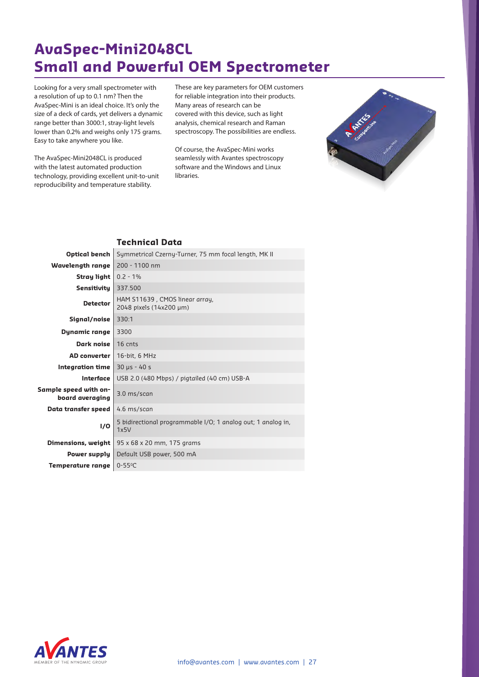# **AvaSpec-Mini2048CL Small and Powerful OEM Spectrometer**

Looking for a very small spectrometer with a resolution of up to 0.1 nm? Then the AvaSpec-Mini is an ideal choice. It's only the size of a deck of cards, yet delivers a dynamic range better than 3000:1, stray-light levels lower than 0.2% and weighs only 175 grams. Easy to take anywhere you like.

The AvaSpec-Mini2048CL is produced with the latest automated production technology, providing excellent unit-to-unit reproducibility and temperature stability.

These are key parameters for OEM customers for reliable integration into their products. Many areas of research can be covered with this device, such as light analysis, chemical research and Raman spectroscopy. The possibilities are endless.

Of course, the AvaSpec-Mini works seamlessly with Avantes spectroscopy software and the Windows and Linux libraries.



#### **Technical Data**

| Optical bench                            | Symmetrical Czerny-Turner, 75 mm focal length, MK II                 |  |  |
|------------------------------------------|----------------------------------------------------------------------|--|--|
| Wavelength range                         | 200 - 1100 nm                                                        |  |  |
| Stray light                              | $0.2 - 1\%$                                                          |  |  |
| <b>Sensitivity</b>                       | 337.500                                                              |  |  |
| <b>Detector</b>                          | HAM S11639, CMOS linear array,<br>2048 pixels (14x200 µm)            |  |  |
| Signal/noise                             | 330:1                                                                |  |  |
| <b>Dynamic range</b>                     | 3300                                                                 |  |  |
| Dark noise                               | 16 cnts                                                              |  |  |
| <b>AD</b> converter                      | 16-bit, 6 MHz                                                        |  |  |
| Integration time                         | $30 \text{ }\mu s - 40 \text{ }\mu s$                                |  |  |
| Interface                                | USB 2.0 (480 Mbps) / pigtailed (40 cm) USB-A                         |  |  |
| Sample speed with on-<br>board averaging | 3.0 ms/scan                                                          |  |  |
| Data transfer speed                      | 4.6 ms/scan                                                          |  |  |
| <b>I/O</b>                               | 5 bidirectional programmable I/O; 1 analog out; 1 analog in,<br>1x5V |  |  |
| Dimensions, weight                       | 95 x 68 x 20 mm, 175 grams                                           |  |  |
| Power supply                             | Default USB power, 500 mA                                            |  |  |
| Temperature range                        | $0 - 55$ °C                                                          |  |  |